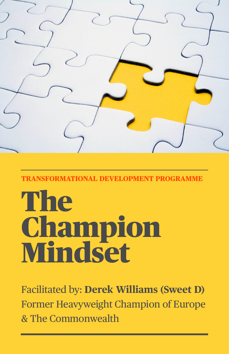

**TRANSFORMATIONAL DEVELOPMENT PROGRAMME** 

# **The** Champion Mindset

Facilitated by: **Derek Williams (Sweet D)** Former Heavyweight Champion of Europe & The Commonwealth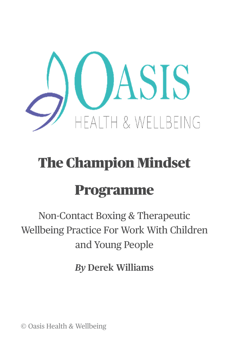

# The Champion Mindset

# Programme

Non-Contact Boxing & Therapeutic Wellbeing Practice For Work With Children and Young People

*By* **Derek Williams**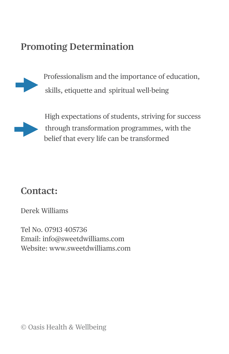#### **Promoting Determination**



Professionalism and the importance of education, skills, etiquette and spiritual well-being



 High expectations of students, striving for success through transformation programmes, with the belief that every life can be transformed

#### **Contact:**

Derek Williams

Tel No. 07913 405736 Email: info@sweetdwilliams.com Website: www.sweetdwilliams.com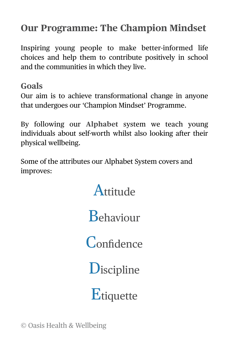## **Our Programme: The Champion Mindset**

Inspiring young people to make better-informed life choices and help them to contribute positively in school and the communities in which they live.

**Goals**

Our aim is to achieve transformational change in anyone that undergoes our 'Champion Mindset' Programme.

By following our **Alphabet** system we teach young individuals about self-worth whilst also looking after their physical wellbeing.

Some of the attributes our Alphabet System covers and improves:

**Attitude** 

Behaviour

**Confidence** 

**D**iscipline

**Etiquette**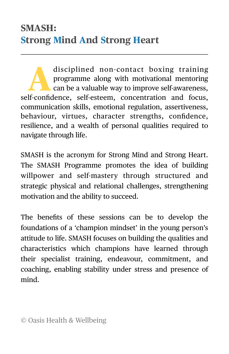disciplined non-contact boxing training<br>programme along with motivational mentoring<br>can be a valuable way to improve self-awareness, programme along with motivational mentoring can be a valuable way to improve self-awareness, self-confidence, self-esteem, concentration and focus, communication skills, emotional regulation, assertiveness, behaviour, virtues, character strengths, confidence, resilience, and a wealth of personal qualities required to navigate through life.

SMASH is the acronym for Strong Mind and Strong Heart. The SMASH Programme promotes the idea of building willpower and self-mastery through structured and strategic physical and relational challenges, strengthening motivation and the ability to succeed.

The benefits of these sessions can be to develop the foundations of a 'champion mindset' in the young person's attitude to life. SMASH focuses on building the qualities and characteristics which champions have learned through their specialist training, endeavour, commitment, and coaching, enabling stability under stress and presence of mind.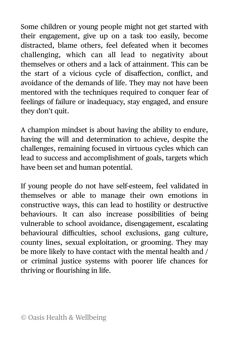Some children or young people might not get started with their engagement, give up on a task too easily, become distracted, blame others, feel defeated when it becomes challenging, which can all lead to negativity about themselves or others and a lack of attainment. This can be the start of a vicious cycle of disaffection, conflict, and avoidance of the demands of life. They may not have been mentored with the techniques required to conquer fear of feelings of failure or inadequacy, stay engaged, and ensure they don't quit.

A champion mindset is about having the ability to endure, having the will and determination to achieve, despite the challenges, remaining focused in virtuous cycles which can lead to success and accomplishment of goals, targets which have been set and human potential.

If young people do not have self-esteem, feel validated in themselves or able to manage their own emotions in constructive ways, this can lead to hostility or destructive behaviours. It can also increase possibilities of being vulnerable to school avoidance, disengagement, escalating behavioural difficulties, school exclusions, gang culture, county lines, sexual exploitation, or grooming. They may be more likely to have contact with the mental health and / or criminal justice systems with poorer life chances for thriving or flourishing in life.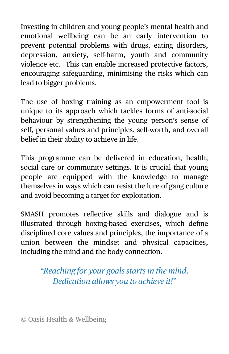Investing in children and young people's mental health and emotional wellbeing can be an early intervention to prevent potential problems with drugs, eating disorders, depression, anxiety, self-harm, youth and community violence etc. This can enable increased protective factors, encouraging safeguarding, minimising the risks which can lead to bigger problems.

The use of boxing training as an empowerment tool is unique to its approach which tackles forms of anti-social behaviour by strengthening the young person's sense of self, personal values and principles, self-worth, and overall belief in their ability to achieve in life.

This programme can be delivered in education, health, social care or community settings. It is crucial that young people are equipped with the knowledge to manage themselves in ways which can resist the lure of gang culture and avoid becoming a target for exploitation.

SMASH promotes reflective skills and dialogue and is illustrated through boxing-based exercises, which define disciplined core values and principles, the importance of a union between the mindset and physical capacities, including the mind and the body connection.

> *"Reaching for your goals starts in the mind. Dedication allows you to achieve it!"*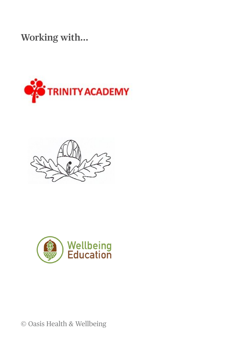**Working with…**





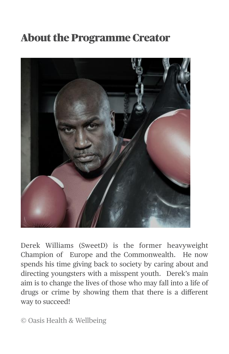## About the Programme Creator



Derek Williams (SweetD) is the former heavyweight Champion of Europe and the Commonwealth. He now spends his time giving back to society by caring about and directing youngsters with a misspent youth. Derek's main aim is to change the lives of those who may fall into a life of drugs or crime by showing them that there is a different way to succeed!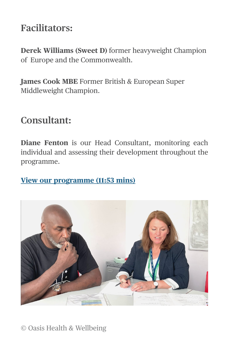#### **Facilitators:**

**Derek Williams (Sweet D)** former heavyweight Champion of Europe and the Commonwealth.

**James Cook MBE** Former British & European Super Middleweight Champion.

#### **Consultant:**

**Diane Fenton** is our Head Consultant, monitoring each individual and assessing their development throughout the programme.

#### **[View our programme \(11:53 mins\)](https://youtu.be/CUCalUjTSQE)**